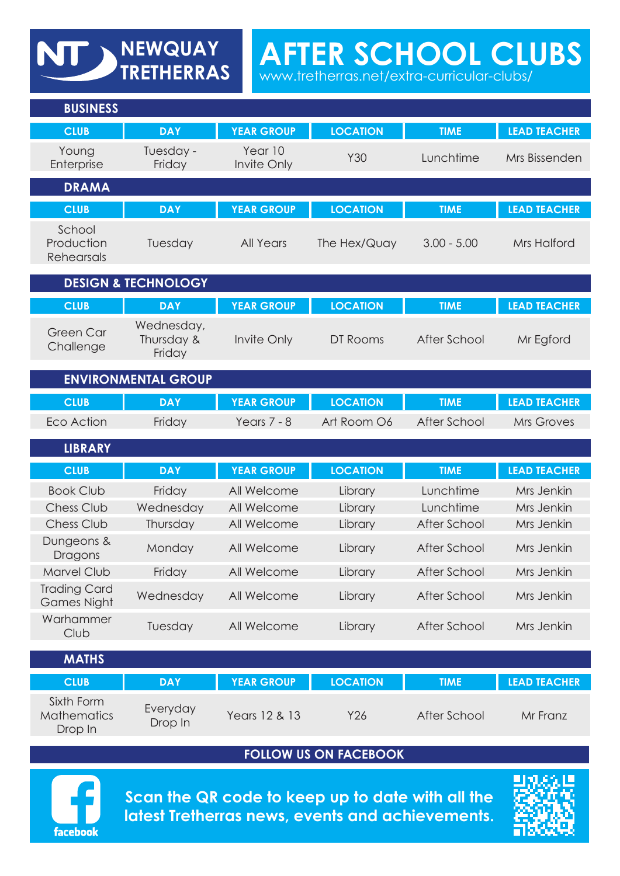**AFTER SCHOOL CLUBS** 

www.tretherras.net/extra-curricular-clubs/

| <b>BUSINESS</b>                             |                                    |                        |                 |               |                     |
|---------------------------------------------|------------------------------------|------------------------|-----------------|---------------|---------------------|
| <b>CLUB</b>                                 | <b>DAY</b>                         | <b>YEAR GROUP</b>      | <b>LOCATION</b> | <b>TIME</b>   | <b>LEAD TEACHER</b> |
| Young<br>Enterprise                         | Tuesday -<br>Friday                | Year 10<br>Invite Only | Y30             | Lunchtime     | Mrs Bissenden       |
| <b>DRAMA</b>                                |                                    |                        |                 |               |                     |
| <b>CLUB</b>                                 | <b>DAY</b>                         | <b>YEAR GROUP</b>      | <b>LOCATION</b> | <b>TIME</b>   | <b>LEAD TEACHER</b> |
| School<br>Production<br>Rehearsals          | Tuesday                            | <b>All Years</b>       | The Hex/Quay    | $3.00 - 5.00$ | <b>Mrs Halford</b>  |
|                                             | <b>DESIGN &amp; TECHNOLOGY</b>     |                        |                 |               |                     |
| <b>CLUB</b>                                 | <b>DAY</b>                         | <b>YEAR GROUP</b>      | <b>LOCATION</b> | <b>TIME</b>   | <b>LEAD TEACHER</b> |
| <b>Green Car</b><br>Challenge               | Wednesday,<br>Thursday &<br>Friday | Invite Only            | DT Rooms        | After School  | Mr Egford           |
|                                             | <b>ENVIRONMENTAL GROUP</b>         |                        |                 |               |                     |
| <b>CLUB</b>                                 | <b>DAY</b>                         | <b>YEAR GROUP</b>      | <b>LOCATION</b> | <b>TIME</b>   | <b>LEAD TEACHER</b> |
| Eco Action                                  | Friday                             | Years $7 - 8$          | Art Room O6     | After School  | <b>Mrs Groves</b>   |
| <b>LIBRARY</b>                              |                                    |                        |                 |               |                     |
| <b>CLUB</b>                                 | <b>DAY</b>                         | <b>YEAR GROUP</b>      | <b>LOCATION</b> | <b>TIME</b>   | <b>LEAD TEACHER</b> |
| <b>Book Club</b>                            | Friday                             | All Welcome            | Library         | Lunchtime     | Mrs Jenkin          |
| Chess Club                                  | Wednesday                          | All Welcome            | Library         | Lunchtime     | Mrs Jenkin          |
| <b>Chess Club</b>                           | Thursday                           | All Welcome            | Library         | After School  | Mrs Jenkin          |
| Dungeons &<br>Dragons                       | Monday                             | All Welcome            | Library         | After School  | Mrs Jenkin          |
| Marvel Club                                 | Friday                             | All Welcome            | Library         | After School  | Mrs Jenkin          |
| <b>Trading Card</b><br><b>Games Night</b>   | Wednesday                          | All Welcome            | Library         | After School  | Mrs Jenkin          |
| Warhammer<br>Club                           | Tuesday                            | All Welcome            | Library         | After School  | Mrs Jenkin          |
| <b>MATHS</b>                                |                                    |                        |                 |               |                     |
| <b>CLUB</b>                                 | <b>DAY</b>                         | <b>YEAR GROUP</b>      | <b>LOCATION</b> | <b>TIME</b>   | <b>LEAD TEACHER</b> |
| Sixth Form<br><b>Mathematics</b><br>Drop In | Everyday<br>Drop In                | Years 12 & 13          | Y26             | After School  | Mr Franz            |

NEWQUAY

## **FOLLOW US ON FACEBOOK**



**Scan the QR code to keep up to date with all the latest Tretherras news, events and achievements.**